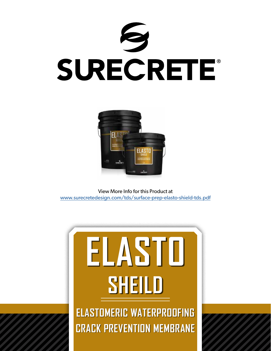



View More Info for this Product at [www.surecretedesign.com/tds/surface-prep-elasto-shield-tds.pdf](https://www.surecretedesign.com/tds/surface-prep-elasto-shield-tds.pdf)

## **ELASTOMERIC WATERPROOFING ELASTO SHEILD**

**CRACK PREVENTION MEMBRANE**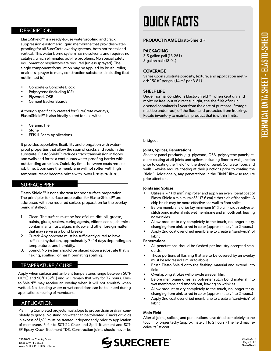## **DESCRIPTION**

ElastoShield™ is a ready-to-use waterproofing and crack suppression elastomeric liquid membrane that provides waterproofing for all SureCrete overlay systems, both horizontal and vertical. This water borne system has no solvents and requires no catalyst, which eliminates pot-life problems. No special safety equipment or respirators are required (unless sprayed). The single component formulation may be applied by brush, roller, or airless sprayer to many construction substrates, including (but not limited to):

- Concrete & Concrete Block
- Polystyrene (including ICF)
- Plywood, OSB
- Cement Backer Boards

Although specifically created for SureCrete overlays, ElastoShield™ is also ideally suited for use with:

- Ceramic Tile
- **Stone**
- EFIS & Foam Applications

It provides superlative flexibility and elongation with waterproof properties that allow the span of cracks and voids in the substrate. ElastoShield™ reduces crack transmission in floors and walls and forms a continuous water-proofing barrier with outstanding adhesion. Quick dry times between coats reduce job time. Upon cure the membrane will not soften with high temperatures or become brittle with lower temperatures.

## SURFACE PREP

Elasto-Shield™ is not a shortcut for poor surface preparation. The principles for surface preparation for Elasto-Shield™ are addressed with the required surface preparation for the overlay being installed.

- 1. Clean: The surface must be free of dust, dirt, oil, grease, paints, glues, sealers, curing agents, efflorescence, chemical contaminants, rust, algae, mildew and other foreign matter that may serve as a bond breaker.
- 2. Cured: Any concrete must be sufficiently cured to have sufficient hydration, approximately 7 - 14 days depending on temperatures and humidity.
- 3. Sound: No system should be placed upon a substrate that is flaking, spalling, or has hibernating spalling.

## TEMPERATURE / CURE

Apply when surface and ambient temperatures range between 50°F (10°C) and 90°F (32°C) and will remain that way for 72 hours. Elasto-Shield™ may receive an overlay when it will not emulsify when wetted. No standing water or wet conditions can be tolerated during application or curing of membrane.

## APPLICATION

Surface projects interesting to proper them of them in the sense pletely to grade. No standing water can be tolerated. Cracks or voids Planning Completed projects must slope to proper drain or drain comin excess of 1/8" must be treated independently prior to application of membrane. Refer to SCT-22 Crack and Spall Treatment and SCT-EP Epoxy Crack Treatment TDS. Construction joints should never be

## **QUICK FACTS**

## **PRODUCT NAME** Elasto-Shield™

## **PACKAGING**

3.5-gallon pail (13.25 L) 5-gallon pail (18.9 L)

## **COVERAGE**

Varies upon substrate porosity, texture, and application method: 150 ft² per gal (14 m² per 3.8 L)

## **SHELF LIFE**

Under normal conditions Elasto-Shield™: when kept dry and moisture free, out of direct sunlight, the shelf life of an unopened container is 1 year from the date of purchase. Storage must be under roof, off the floor, and protected from freezing. Rotate inventory to maintain product that is within limits.

bridged.

## **Joints, Splices, Penetrations**

Sheet or panel products (e.g. plywood, OSB, polystyrene panels) require coating at all joints and splices including floor to wall junction prior to coating the "field" of the sheet or panel. Concrete floors and walls likewise require coating at their junctions prior to coating the "field". Additionally, any penetrations in the "field" likewise require prior attention.

## **Joints and Splices**

- Utilize a ¾" (19 mm) nap roller and apply an even liberal coat of Elasto-Shield a minimum of 3" (7.6 cm) either side of the splice. A chip brush may be more effective at a wall to floor splice.
- Before membrane dries lay minimum 6" (15 cm) width polyester stitch bond material into wet membrane and smooth out, leaving no wrinkles.
- Allow product to dry completely to the touch, no longer tacky, changing from pink to red in color (approximately 1 to 2 hours.)
- Apply 2nd coat over dried membrane to create a "sandwich" of fabric.

### **Penetrations**

- All penetrations should be flashed per industry accepted standards.
- Those portions of flashing that are to be covered by an overlay must be addressed similar to above.
- Brush Elasto-Shield onto the flashing material and extend into field.
- Overlapping strokes will provide an even film.
- Before membrane dries lay polyester stitch bond material into wet membrane and smooth out, leaving no wrinkles.
- Allow product to dry completely to the touch, no longer tacky, changing from pink to red in color (approximately 1 to 2 hours.)
- Apply 2nd coat over dried membrane to create a "sandwich" of fabric.

## **Main Field**

After all joints, splices, and penetrations have dried completely to the touch no longer tacky (approximately 1 to 2 hours.) The field may receive its 1st coat